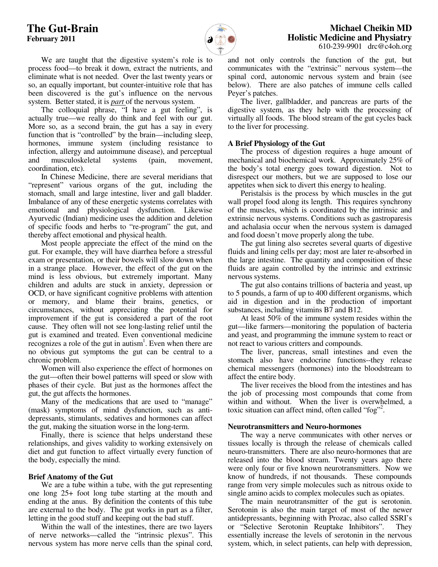

 We are taught that the digestive system's role is to process food—to break it down, extract the nutrients, and eliminate what is not needed. Over the last twenty years or so, an equally important, but counter-intuitive role that has been discovered is the gut's influence on the nervous system. Better stated, it is *part* of the nervous system.

 The colloquial phrase, "I have a gut feeling", is actually true—we really do think and feel with our gut. More so, as a second brain, the gut has a say in every function that is "controlled" by the brain—including sleep, hormones, immune system (including resistance to infection, allergy and autoimmune disease), and perceptual and musculoskeletal systems (pain, movement, coordination, etc).

 In Chinese Medicine, there are several meridians that "represent" various organs of the gut, including the stomach, small and large intestine, liver and gall bladder. Imbalance of any of these energetic systems correlates with emotional and physiological dysfunction. Likewise Ayurvedic (Indian) medicine uses the addition and deletion of specific foods and herbs to "re-program" the gut, and thereby affect emotional and physical health.

 Most people appreciate the effect of the mind on the gut. For example, they will have diarrhea before a stressful exam or presentation, or their bowels will slow down when in a strange place. However, the effect of the gut on the mind is less obvious, but extremely important. Many children and adults are stuck in anxiety, depression or OCD, or have significant cognitive problems with attention or memory, and blame their brains, genetics, or circumstances, without appreciating the potential for improvement if the gut is considered a part of the root cause. They often will not see long-lasting relief until the gut is examined and treated. Even conventional medicine recognizes a role of the gut in autism<sup>1</sup>. Even when there are no obvious gut symptoms the gut can be central to a chronic problem.

 Women will also experience the effect of hormones on the gut—often their bowel patterns will speed or slow with phases of their cycle. But just as the hormones affect the gut, the gut affects the hormones.

 Many of the medications that are used to "manage" (mask) symptoms of mind dysfunction, such as antidepressants, stimulants, sedatives and hormones can affect the gut, making the situation worse in the long-term.

 Finally, there is science that helps understand these relationships, and gives validity to working extensively on diet and gut function to affect virtually every function of the body, especially the mind.

## **Brief Anatomy of the Gut**

 We are a tube within a tube, with the gut representing one long 25+ foot long tube starting at the mouth and ending at the anus. By definition the contents of this tube are external to the body. The gut works in part as a filter, letting in the good stuff and keeping out the bad stuff.

 Within the wall of the intestines, there are two layers of nerve networks—called the "intrinsic plexus". This nervous system has more nerve cells than the spinal cord,

and not only controls the function of the gut, but communicates with the "extrinsic" nervous system—the spinal cord, autonomic nervous system and brain (see below). There are also patches of immune cells called Peyer's patches.

 The liver, gallbladder, and pancreas are parts of the digestive system, as they help with the processing of virtually all foods. The blood stream of the gut cycles back to the liver for processing.

# **A Brief Physiology of the Gut**

The process of digestion requires a huge amount of mechanical and biochemical work. Approximately 25% of the body's total energy goes toward digestion. Not to disrespect our mothers, but we are supposed to lose our appetites when sick to divert this energy to healing.

Peristalsis is the process by which muscles in the gut wall propel food along its length. This requires synchrony of the muscles, which is coordinated by the intrinsic and extrinsic nervous systems. Conditions such as gastroparesis and achalasia occur when the nervous system is damaged and food doesn't move properly along the tube.

 The gut lining also secretes several quarts of digestive fluids and lining cells per day; most are later re-absorbed in the large intestine. The quantity and composition of these fluids are again controlled by the intrinsic and extrinsic nervous systems.

 The gut also contains trillions of bacteria and yeast, up to 5 pounds, a farm of up to 400 different organisms, which aid in digestion and in the production of important substances, including vitamins B7 and B12.

 At least 50% of the immune system resides within the gut—like farmers—monitoring the population of bacteria and yeast, and programming the immune system to react or not react to various critters and compounds.

 The liver, pancreas, small intestines and even the stomach also have endocrine functions--they release chemical messengers (hormones) into the bloodstream to affect the entire body.

 The liver receives the blood from the intestines and has the job of processing most compounds that come from within and without. When the liver is overwhelmed, a toxic situation can affect mind, often called "fog"<sup>2</sup>.

## **Neurotransmitters and Neuro-hormones**

The way a nerve communicates with other nerves or tissues locally is through the release of chemicals called neuro-transmitters. There are also neuro-hormones that are released into the blood stream. Twenty years ago there were only four or five known neurotransmitters. Now we know of hundreds, if not thousands. These compounds range from very simple molecules such as nitrous oxide to single amino acids to complex molecules such as opiates.

 The main neurotransmitter of the gut is serotonin. Serotonin is also the main target of most of the newer antidepressants, beginning with Prozac, also called SSRI's or "Selective Serotonin Reuptake Inhibitors". They essentially increase the levels of serotonin in the nervous system, which, in select patients, can help with depression,